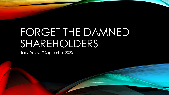## FORGET THE DAMNED SHAREHOLDERS

Jerry Davis, 17 September 2020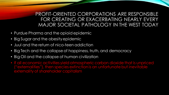PROFIT-ORIENTED CORPORATIONS ARE RESPONSIBLE FOR CREATING OR EXACERBATING NEARLY EVERY MAJOR SOCIETAL PATHOLOGY IN THE WEST TODAY

- Purdue Pharma and the opioid epidemic
- Big Sugar and the obesity epidemic
- Juul and the return of nico-teen addiction
- Big Tech and the collapse of happiness, truth, and democracy
- Big Oil and the collapse of human civilization
- If all economic activities yield atmospheric carbon dioxide that is unpriced ("externalities"), then species extinction is an unfortunate but inevitable externality of shareholder capitalism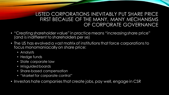## LISTED CORPORATIONS INEVITABLY PUT SHARE PRICE FIRST BECAUSE OF THE MANY, MANY MECHANISMS OF CORPORATE GOVERNANCE

- "Creating shareholder value" in practice means "increasing share price" (and is indifferent to shareholders per se)
- The US has evolved a vast matrix of institutions that force corporations to focus monomaniacally on share price:
	- Analysts
	- Hedge funds
	- State corporate law
	- Misguided boards
	- Share-based compensation
	- "Market for corporate control"
- Investors hate companies that create jobs, pay well, engage in CSR